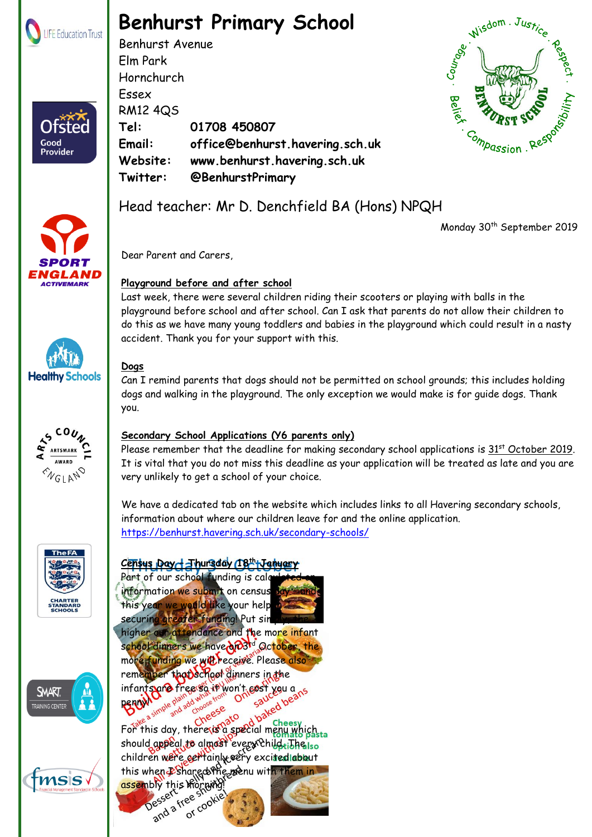

Ofster

Good Provider

# **Benhurst Primary School**

Benhurst Avenue Elm Park Hornchurch Essex RM12 4QS **Tel: 01708 450807 Email: office@benhurst.havering.sch.uk Website: www.benhurst.havering.sch.uk Twitter: @BenhurstPrimary**

Head teacher: Mr D. Denchfield BA (Hons) NPQH



Monday 30<sup>th</sup> September 2019







**SMART** 

**RAINING CENTE** 

tmsis

M

## **Dogs**

Dear Parent and Carers,

**Playground before and after school**

Can I remind parents that dogs should not be permitted on school grounds; this includes holding dogs and walking in the playground. The only exception we would make is for guide dogs. Thank you.

playground before school and after school. Can I ask that parents do not allow their children to do this as we have many young toddlers and babies in the playground which could result in a nasty

Last week, there were several children riding their scooters or playing with balls in the

### **Secondary School Applications (Y6 parents only)**

accident. Thank you for your support with this.

Please remember that the deadline for making secondary school applications is  $31<sup>st</sup>$  October 2019. It is vital that you do not miss this deadline as your application will be treated as late and you are very unlikely to get a school of your choice.

We have a dedicated tab on the website which includes links to all Havering secondary schools, information about where our children leave for and the online application. <https://benhurst.havering.sch.uk/secondary-schools/>

## **Census Day – Thursday 18th January**

Part of our school funding is calculated information we submit on census this year we wedld like your help securing greater funding! Put sin higher our attendance and the more infant school dinners we have on 3<sup>td</sup> October, the more funding we will receive. Please also remember that school dinners in the infants are free so it won't sost you ans penny!

For this day, there is a special menu which the should appeal to almost every child tible iso children were certainly very excited about this when Pshared the menu with them in